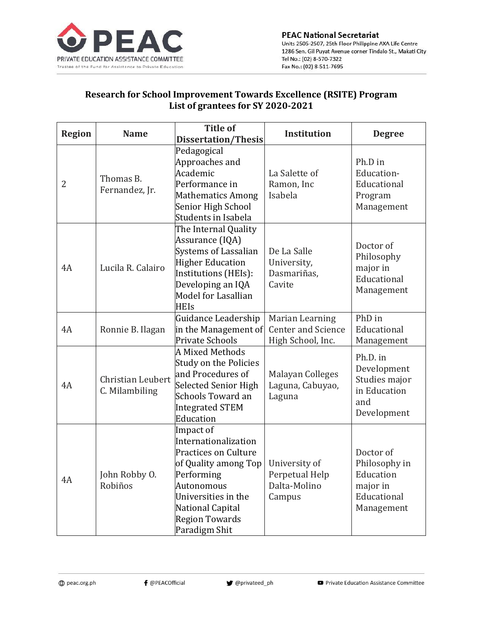

## Research for School Improvement Towards Excellence (RSITE) Program List of grantees for SY 2020-2021

| <b>Region</b> | <b>Name</b>                         | <b>Title of</b><br><b>Dissertation/Thesis</b>                                                                                                                                                             | <b>Institution</b>                                                | <b>Degree</b>                                                                    |
|---------------|-------------------------------------|-----------------------------------------------------------------------------------------------------------------------------------------------------------------------------------------------------------|-------------------------------------------------------------------|----------------------------------------------------------------------------------|
| 2             | Thomas B.<br>Fernandez, Jr.         | Pedagogical<br>Approaches and<br>Academic<br>Performance in<br><b>Mathematics Among</b><br>Senior High School<br>Students in Isabela                                                                      | La Salette of<br>Ramon, Inc<br>Isabela                            | Ph.D in<br>Education-<br>Educational<br>Program<br>Management                    |
| 4A            | Lucila R. Calairo                   | The Internal Quality<br>Assurance (IQA)<br><b>Systems of Lassalian</b><br><b>Higher Education</b><br>Institutions (HEIs):<br>Developing an IQA<br>Model for Lasallian<br><b>HEIs</b>                      | De La Salle<br>University,<br>Dasmariñas,<br>Cavite               | Doctor of<br>Philosophy<br>major in<br>Educational<br>Management                 |
| 4A            | Ronnie B. Ilagan                    | Guidance Leadership<br>in the Management of<br><b>Private Schools</b>                                                                                                                                     | Marian Learning<br><b>Center and Science</b><br>High School, Inc. | PhD in<br>Educational<br>Management                                              |
| 4A            | Christian Leubert<br>C. Milambiling | <b>A Mixed Methods</b><br><b>Study on the Policies</b><br>and Procedures of<br><b>Selected Senior High</b><br><b>Schools Toward an</b><br><b>Integrated STEM</b><br>Education                             | Malayan Colleges<br>Laguna, Cabuyao,<br>Laguna                    | Ph.D. in<br>Development<br>Studies major<br>in Education<br>and<br>Development   |
| 4A            | John Robby O.<br>Robiños            | Impact of<br>Internationalization<br><b>Practices on Culture</b><br>of Quality among Top<br>Performing<br>Autonomous<br>Universities in the<br>National Capital<br><b>Region Towards</b><br>Paradigm Shit | University of<br>Perpetual Help<br>Dalta-Molino<br>Campus         | Doctor of<br>Philosophy in<br>Education<br>major in<br>Educational<br>Management |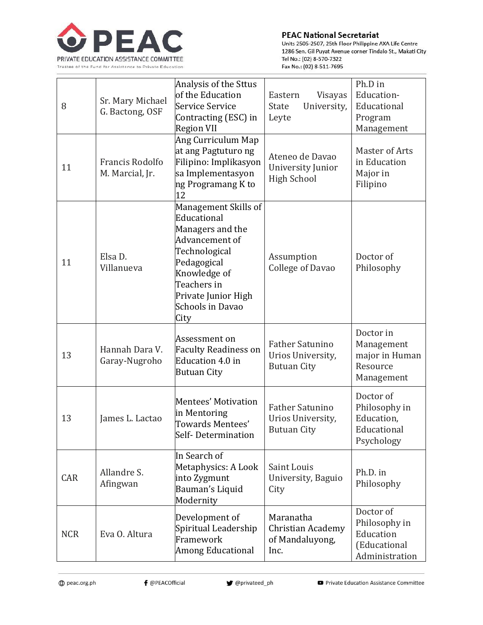

## **PEAC National Secretariat**

Units 2505-2507, 25th Floor Philippine AXA Life Centre 1286 Sen. Gil Puyat Avenue corner Tindalo St., Makati City Tel No.: (02) 8-570-7322 Fax No.: (02) 8-511-7695

| 8          | Sr. Mary Michael<br>G. Bactong, OSF | Analysis of the Sttus<br>of the Education<br>Service Service<br>Contracting (ESC) in<br><b>Region VII</b>                                                                                   | Eastern<br>Visayas<br><b>State</b><br>University,<br>Leyte        | Ph.D in<br>Education-<br>Educational<br>Program<br>Management             |
|------------|-------------------------------------|---------------------------------------------------------------------------------------------------------------------------------------------------------------------------------------------|-------------------------------------------------------------------|---------------------------------------------------------------------------|
| 11         | Francis Rodolfo<br>M. Marcial, Jr.  | Ang Curriculum Map<br>at ang Pagtuturo ng<br>Filipino: Implikasyon<br>sa Implementasyon<br>ng Programang K to<br>12                                                                         | Ateneo de Davao<br>University Junior<br><b>High School</b>        | Master of Arts<br>in Education<br>Major in<br>Filipino                    |
| 11         | Elsa D.<br>Villanueva               | Management Skills of<br>Educational<br>Managers and the<br>Advancement of<br>Technological<br>Pedagogical<br>Knowledge of<br>Teachers in<br>Private Junior High<br>Schools in Davao<br>City | Assumption<br><b>College of Davao</b>                             | Doctor of<br>Philosophy                                                   |
| 13         | Hannah Dara V.<br>Garay-Nugroho     | Assessment on<br><b>Faculty Readiness on</b><br><b>Education 4.0 in</b><br><b>Butuan City</b>                                                                                               | Father Satunino<br>Urios University,<br><b>Butuan City</b>        | Doctor in<br>Management<br>major in Human<br>Resource<br>Management       |
| 13         | James L. Lactao                     | <b>Mentees' Motivation</b><br>in Mentoring<br>Towards Mentees'<br>Self-Determination                                                                                                        | <b>Father Satunino</b><br>Urios University,<br><b>Butuan City</b> | Doctor of<br>Philosophy in<br>Education,<br>Educational<br>Psychology     |
| CAR        | Allandre S.<br>Afingwan             | In Search of<br>Metaphysics: A Look<br>into Zygmunt<br>Bauman's Liquid<br>Modernity                                                                                                         | Saint Louis<br>University, Baguio<br>City                         | Ph.D. in<br>Philosophy                                                    |
| <b>NCR</b> | Eva O. Altura                       | Development of<br>Spiritual Leadership<br>Framework<br><b>Among Educational</b>                                                                                                             | Maranatha<br><b>Christian Academy</b><br>of Mandaluyong,<br>Inc.  | Doctor of<br>Philosophy in<br>Education<br>(Educational<br>Administration |